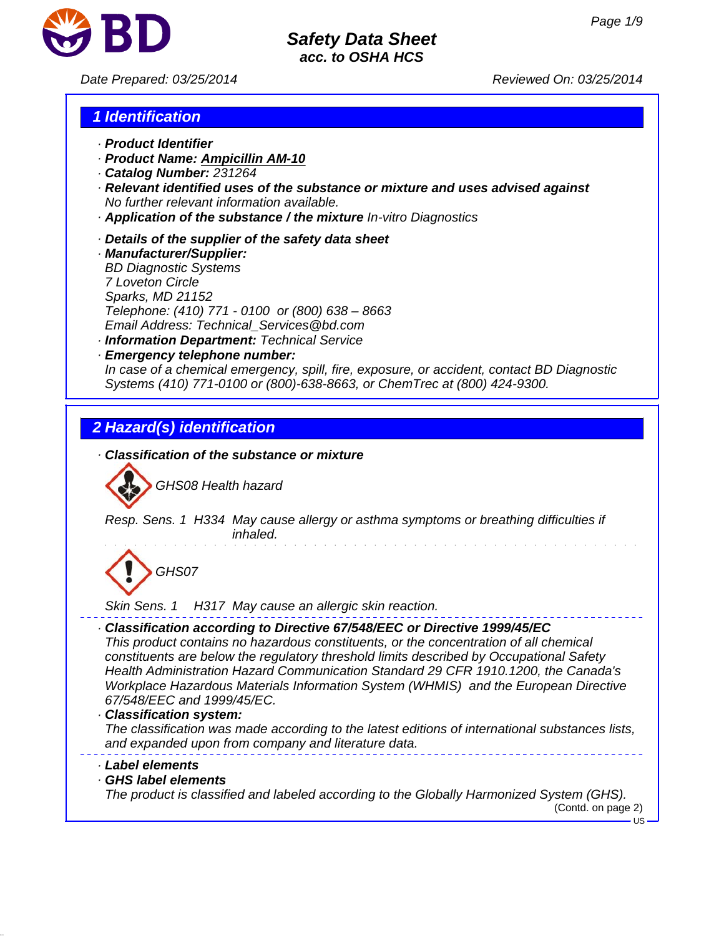

*Date Prepared: 03/25/2014 Reviewed On: 03/25/2014*

# *1 Identification*

- *· Product Identifier*
- *· Product Name: Ampicillin AM-10*
- *· Catalog Number: 231264*
- *· Relevant identified uses of the substance or mixture and uses advised against No further relevant information available.*
- *· Application of the substance / the mixture In-vitro Diagnostics*
- *· Details of the supplier of the safety data sheet*
- *· Manufacturer/Supplier: BD Diagnostic Systems 7 Loveton Circle Sparks, MD 21152 Telephone: (410) 771 - 0100 or (800) 638 – 8663 Email Address: Technical\_Services@bd.com · Information Department: Technical Service*
- *· Emergency telephone number: In case of a chemical emergency, spill, fire, exposure, or accident, contact BD Diagnostic Systems (410) 771-0100 or (800)-638-8663, or ChemTrec at (800) 424-9300.*

# *2 Hazard(s) identification*

*· Classification of the substance or mixture*



*Resp. Sens. 1 H334 May cause allergy or asthma symptoms or breathing difficulties if inhaled.*

# *GHS07*

*Skin Sens. 1 H317 May cause an allergic skin reaction.*

*· Classification according to Directive 67/548/EEC or Directive 1999/45/EC*

*This product contains no hazardous constituents, or the concentration of all chemical constituents are below the regulatory threshold limits described by Occupational Safety Health Administration Hazard Communication Standard 29 CFR 1910.1200, the Canada's Workplace Hazardous Materials Information System (WHMIS) and the European Directive 67/548/EEC and 1999/45/EC.*

#### *· Classification system:*

*The classification was made according to the latest editions of international substances lists, and expanded upon from company and literature data.*

#### *· Label elements*

*· GHS label elements*

*The product is classified and labeled according to the Globally Harmonized System (GHS).*

(Contd. on page 2)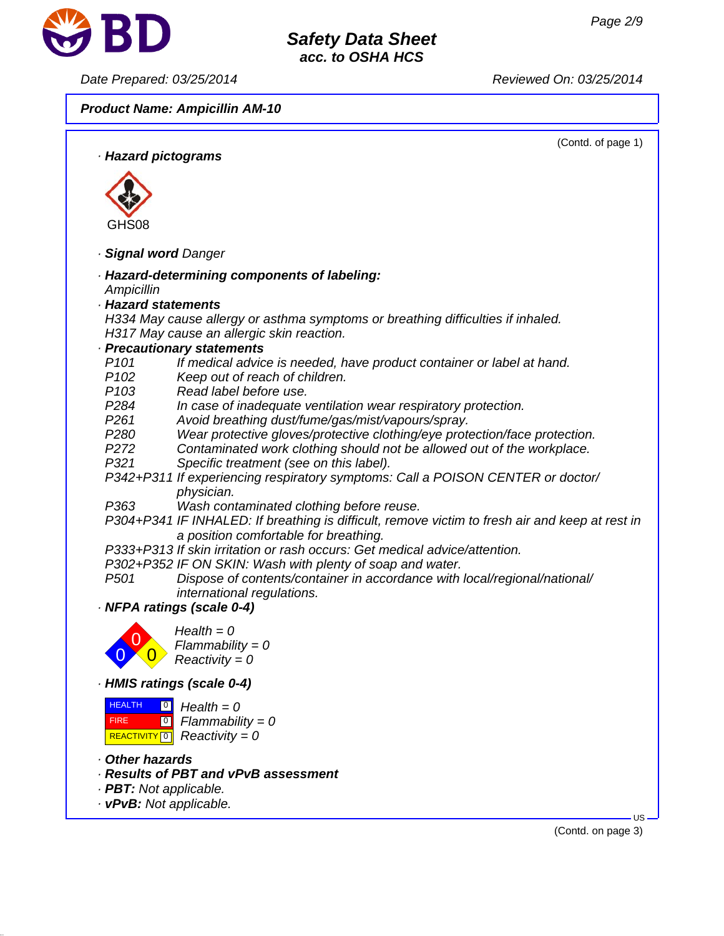

*Date Prepared: 03/25/2014 Reviewed On: 03/25/2014*

*Product Name: Ampicillin AM-10*



(Contd. on page 3)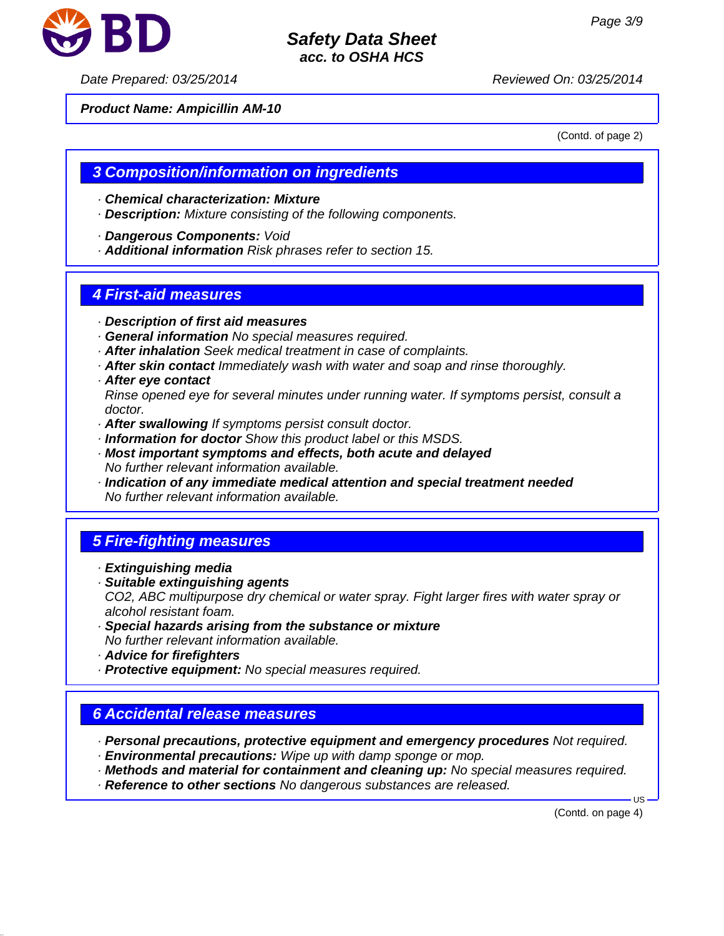

*Date Prepared: 03/25/2014 Reviewed On: 03/25/2014*

#### *Product Name: Ampicillin AM-10*

(Contd. of page 2)

# *3 Composition/information on ingredients*

- *· Chemical characterization: Mixture*
- *· Description: Mixture consisting of the following components.*
- *· Dangerous Components: Void*
- *· Additional information Risk phrases refer to section 15.*

### *4 First-aid measures*

- *· Description of first aid measures*
- *· General information No special measures required.*
- *· After inhalation Seek medical treatment in case of complaints.*
- *· After skin contact Immediately wash with water and soap and rinse thoroughly.*
- *· After eye contact*

*Rinse opened eye for several minutes under running water. If symptoms persist, consult a doctor.*

- *· After swallowing If symptoms persist consult doctor.*
- *· Information for doctor Show this product label or this MSDS.*
- *· Most important symptoms and effects, both acute and delayed No further relevant information available.*
- *· Indication of any immediate medical attention and special treatment needed No further relevant information available.*

# *5 Fire-fighting measures*

- *· Extinguishing media*
- *· Suitable extinguishing agents CO2, ABC multipurpose dry chemical or water spray. Fight larger fires with water spray or alcohol resistant foam.*
- *· Special hazards arising from the substance or mixture No further relevant information available.*
- *· Advice for firefighters*
- *· Protective equipment: No special measures required.*

# *6 Accidental release measures*

- *· Personal precautions, protective equipment and emergency procedures Not required.*
- *· Environmental precautions: Wipe up with damp sponge or mop.*
- *· Methods and material for containment and cleaning up: No special measures required.*
- *· Reference to other sections No dangerous substances are released.*

(Contd. on page 4)

 $H<sub>S</sub>$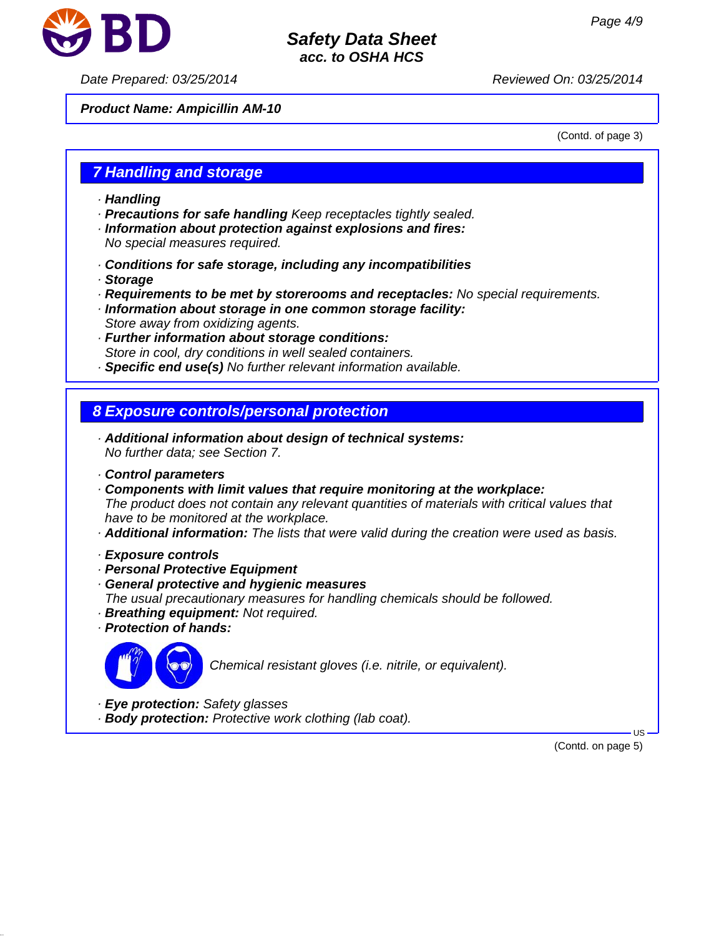

*Date Prepared: 03/25/2014 Reviewed On: 03/25/2014*

*Product Name: Ampicillin AM-10*

(Contd. of page 3)

### *7 Handling and storage*

- *· Handling*
- *· Precautions for safe handling Keep receptacles tightly sealed.*
- *· Information about protection against explosions and fires: No special measures required.*
- *· Conditions for safe storage, including any incompatibilities*
- *· Storage*
- *· Requirements to be met by storerooms and receptacles: No special requirements.*
- *· Information about storage in one common storage facility: Store away from oxidizing agents.*
- *· Further information about storage conditions: Store in cool, dry conditions in well sealed containers.*
- *· Specific end use(s) No further relevant information available.*

# *8 Exposure controls/personal protection*

- *· Additional information about design of technical systems: No further data; see Section 7.*
- *· Control parameters*
- *· Components with limit values that require monitoring at the workplace: The product does not contain any relevant quantities of materials with critical values that have to be monitored at the workplace.*
- *· Additional information: The lists that were valid during the creation were used as basis.*
- *· Exposure controls*
- *· Personal Protective Equipment*
- *· General protective and hygienic measures*
- *The usual precautionary measures for handling chemicals should be followed.*
- *· Breathing equipment: Not required.*
- *· Protection of hands:*



*Chemical resistant gloves (i.e. nitrile, or equivalent).*

- *· Eye protection: Safety glasses*
- *· Body protection: Protective work clothing (lab coat).*

(Contd. on page 5)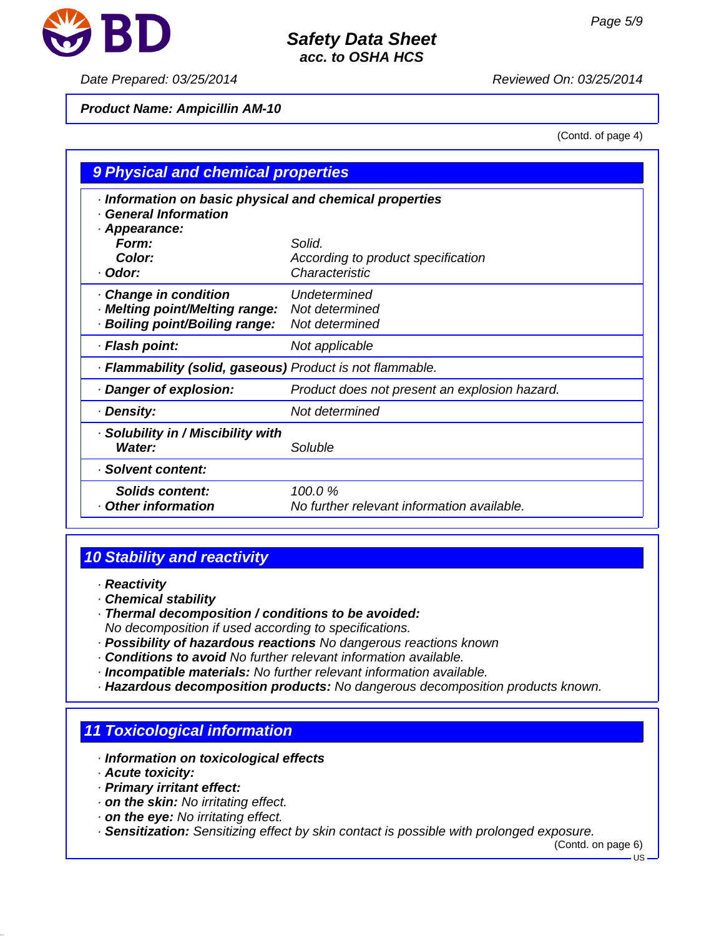

#### *Date Prepared: 03/25/2014 Reviewed On: 03/25/2014*

### *Product Name: Ampicillin AM-10*

(Contd. of page 4)

| 9 Physical and chemical properties                                                                                                     |                                                                |  |
|----------------------------------------------------------------------------------------------------------------------------------------|----------------------------------------------------------------|--|
| · Information on basic physical and chemical properties<br>· General Information<br>· Appearance:<br><b>Form:</b><br>Color:<br>· Odor: | Solid.<br>According to product specification<br>Characteristic |  |
| · Change in condition<br>· Melting point/Melting range:<br>· Boiling point/Boiling range:                                              | Undetermined<br>Not determined<br>Not determined               |  |
| · Flash point:                                                                                                                         | Not applicable                                                 |  |
| · Flammability (solid, gaseous) Product is not flammable.                                                                              |                                                                |  |
| · Danger of explosion:                                                                                                                 | Product does not present an explosion hazard.                  |  |
| · Density:                                                                                                                             | Not determined                                                 |  |
| · Solubility in / Miscibility with<br>Water:                                                                                           | Soluble                                                        |  |
| · Solvent content:                                                                                                                     |                                                                |  |
| <b>Solids content:</b><br>Other information                                                                                            | 100.0%<br>No further relevant information available.           |  |

# *10 Stability and reactivity*

- *· Reactivity*
- *· Chemical stability*
- *· Thermal decomposition / conditions to be avoided: No decomposition if used according to specifications.*
- *· Possibility of hazardous reactions No dangerous reactions known*
- *· Conditions to avoid No further relevant information available.*
- *· Incompatible materials: No further relevant information available.*
- *· Hazardous decomposition products: No dangerous decomposition products known.*

# *11 Toxicological information*

- *· Information on toxicological effects*
- *· Acute toxicity:*
- *· Primary irritant effect:*
- *· on the skin: No irritating effect.*
- *· on the eye: No irritating effect.*
- *· Sensitization: Sensitizing effect by skin contact is possible with prolonged exposure.*

(Contd. on page 6)

US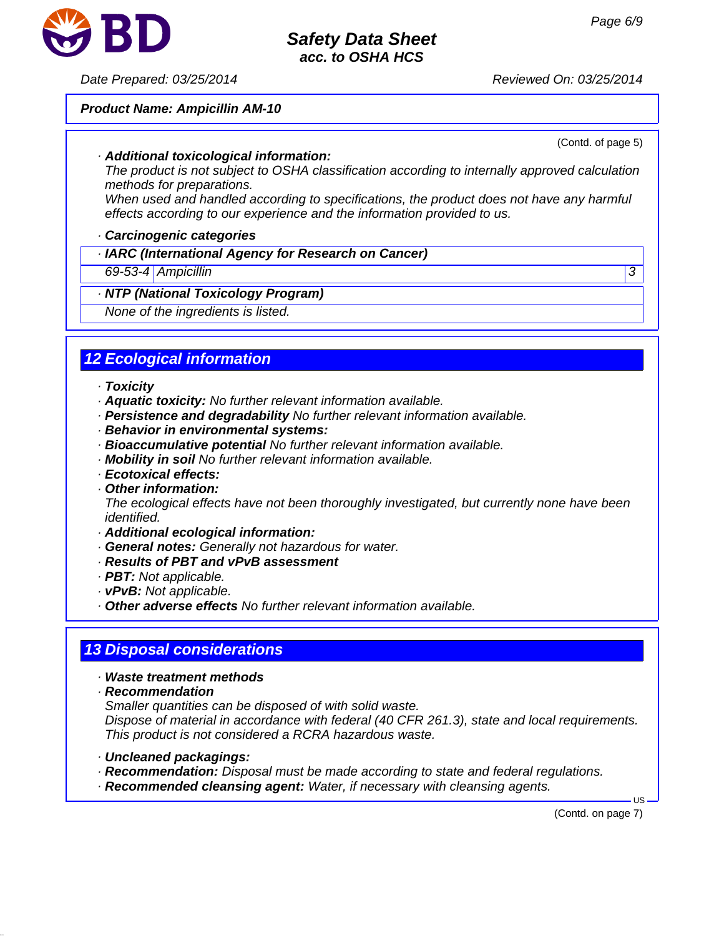

*Date Prepared: 03/25/2014 Reviewed On: 03/25/2014*

#### *Product Name: Ampicillin AM-10*

(Contd. of page 5)

#### *· Additional toxicological information:*

*The product is not subject to OSHA classification according to internally approved calculation methods for preparations.*

*When used and handled according to specifications, the product does not have any harmful effects according to our experience and the information provided to us.*

#### *· Carcinogenic categories*

*· IARC (International Agency for Research on Cancer)*

#### *69-53-4 Ampicillin 3*

#### *· NTP (National Toxicology Program)*

*None of the ingredients is listed.*

# *12 Ecological information*

- *· Toxicity*
- *· Aquatic toxicity: No further relevant information available.*
- *· Persistence and degradability No further relevant information available.*
- *· Behavior in environmental systems:*
- *· Bioaccumulative potential No further relevant information available.*
- *· Mobility in soil No further relevant information available.*
- *· Ecotoxical effects:*
- *· Other information:*

*The ecological effects have not been thoroughly investigated, but currently none have been identified.*

- *· Additional ecological information:*
- *· General notes: Generally not hazardous for water.*
- *· Results of PBT and vPvB assessment*
- *· PBT: Not applicable.*
- *· vPvB: Not applicable.*
- *· Other adverse effects No further relevant information available.*

# *13 Disposal considerations*

- *· Waste treatment methods*
- *· Recommendation*

*Smaller quantities can be disposed of with solid waste.*

*Dispose of material in accordance with federal (40 CFR 261.3), state and local requirements. This product is not considered a RCRA hazardous waste.*

- *· Uncleaned packagings:*
- *· Recommendation: Disposal must be made according to state and federal regulations.*
- *· Recommended cleansing agent: Water, if necessary with cleansing agents.*

(Contd. on page 7)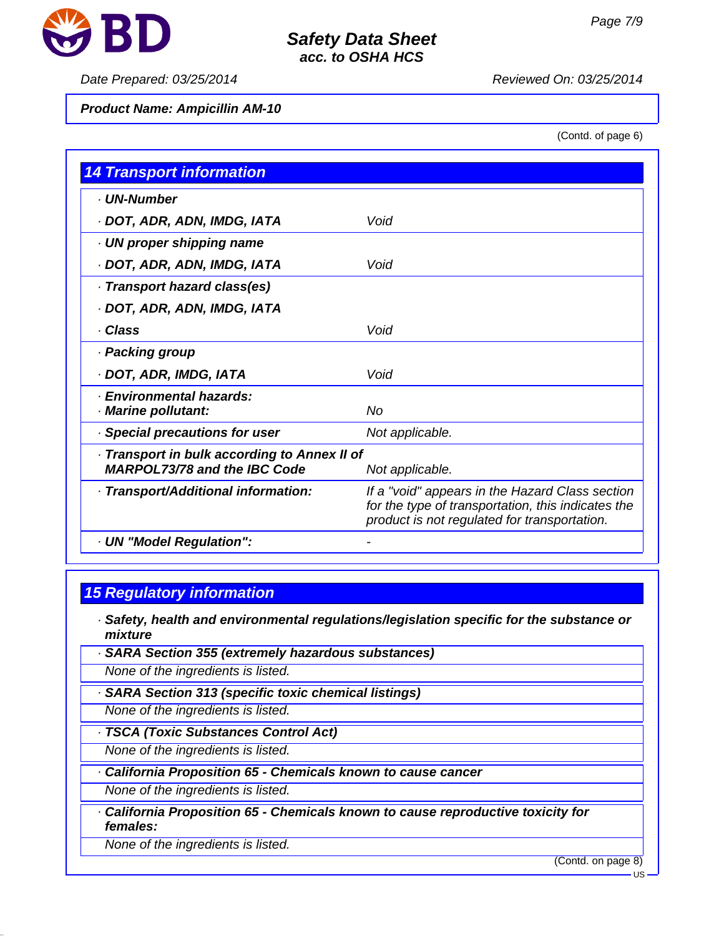

#### *Date Prepared: 03/25/2014 Reviewed On: 03/25/2014*

#### *Product Name: Ampicillin AM-10*

(Contd. of page 6)

| <b>14 Transport information</b>                                                     |                                                                                                                                                       |
|-------------------------------------------------------------------------------------|-------------------------------------------------------------------------------------------------------------------------------------------------------|
| · UN-Number                                                                         |                                                                                                                                                       |
| · DOT, ADR, ADN, IMDG, IATA                                                         | Void                                                                                                                                                  |
| · UN proper shipping name                                                           |                                                                                                                                                       |
| · DOT, ADR, ADN, IMDG, IATA                                                         | Void                                                                                                                                                  |
| · Transport hazard class(es)                                                        |                                                                                                                                                       |
| · DOT, ADR, ADN, IMDG, IATA                                                         |                                                                                                                                                       |
| · Class                                                                             | Void                                                                                                                                                  |
| · Packing group                                                                     |                                                                                                                                                       |
| · DOT, ADR, IMDG, IATA                                                              | Void                                                                                                                                                  |
| · Environmental hazards:<br>· Marine pollutant:                                     | No                                                                                                                                                    |
| · Special precautions for user                                                      | Not applicable.                                                                                                                                       |
| · Transport in bulk according to Annex II of<br><b>MARPOL73/78 and the IBC Code</b> | Not applicable.                                                                                                                                       |
| · Transport/Additional information:                                                 | If a "void" appears in the Hazard Class section<br>for the type of transportation, this indicates the<br>product is not regulated for transportation. |
| · UN "Model Regulation":                                                            |                                                                                                                                                       |

# *15 Regulatory information*

- *· Safety, health and environmental regulations/legislation specific for the substance or mixture*
- *· SARA Section 355 (extremely hazardous substances)*
- *None of the ingredients is listed.*
- *· SARA Section 313 (specific toxic chemical listings)*

*None of the ingredients is listed.*

*· TSCA (Toxic Substances Control Act)*

*None of the ingredients is listed.*

*· California Proposition 65 - Chemicals known to cause cancer*

*None of the ingredients is listed.*

*· California Proposition 65 - Chemicals known to cause reproductive toxicity for females:*

*None of the ingredients is listed.*

(Contd. on page 8)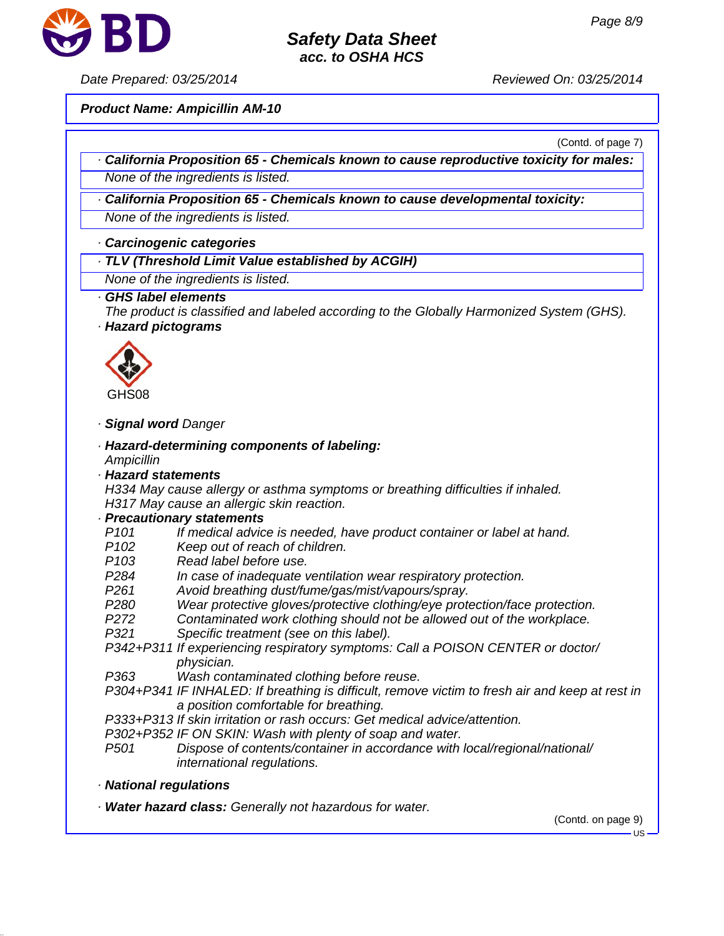

*Date Prepared: 03/25/2014 Reviewed On: 03/25/2014*

*Product Name: Ampicillin AM-10*

(Contd. of page 7)

- *· California Proposition 65 Chemicals known to cause reproductive toxicity for males: None of the ingredients is listed.*
- *· California Proposition 65 Chemicals known to cause developmental toxicity:*

*None of the ingredients is listed.*

#### *· Carcinogenic categories*

*· TLV (Threshold Limit Value established by ACGIH)*

*None of the ingredients is listed.*

#### *· GHS label elements*

*The product is classified and labeled according to the Globally Harmonized System (GHS). · Hazard pictograms*



#### *· Signal word Danger*

- *· Hazard-determining components of labeling: Ampicillin*
- *· Hazard statements*

*H334 May cause allergy or asthma symptoms or breathing difficulties if inhaled. H317 May cause an allergic skin reaction.*

#### *· Precautionary statements*

- *P101 If medical advice is needed, have product container or label at hand.*
- *P102 Keep out of reach of children.*
- *P103 Read label before use.*
- *P284 In case of inadequate ventilation wear respiratory protection.*
- *P261 Avoid breathing dust/fume/gas/mist/vapours/spray.*
- *P280 Wear protective gloves/protective clothing/eye protection/face protection.*
- *P272 Contaminated work clothing should not be allowed out of the workplace.*
- *P321 Specific treatment (see on this label).*
- *P342+P311 If experiencing respiratory symptoms: Call a POISON CENTER or doctor/ physician.*
- *P363 Wash contaminated clothing before reuse.*
- *P304+P341 IF INHALED: If breathing is difficult, remove victim to fresh air and keep at rest in a position comfortable for breathing.*
- *P333+P313 If skin irritation or rash occurs: Get medical advice/attention.*
- *P302+P352 IF ON SKIN: Wash with plenty of soap and water.*
- *P501 Dispose of contents/container in accordance with local/regional/national/ international regulations.*
- *· National regulations*
- *· Water hazard class: Generally not hazardous for water.*